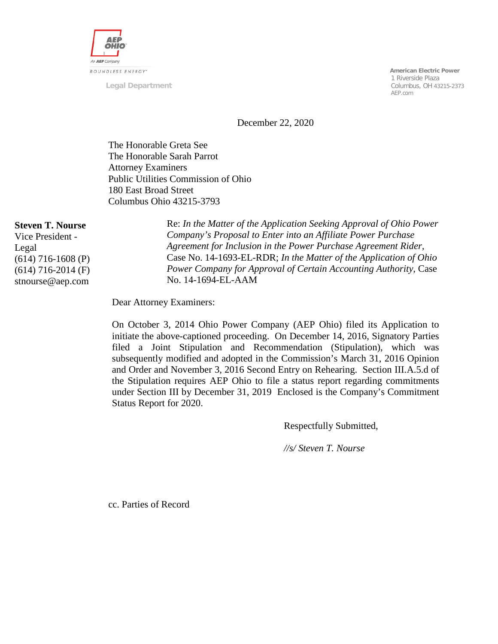

**Legal Department**

 **American Electric Power** 1 Riverside Plaza Columbus, OH 43215-2373 AEP.com

December 22, 2020

The Honorable Greta See The Honorable Sarah Parrot Attorney Examiners Public Utilities Commission of Ohio 180 East Broad Street Columbus Ohio 43215-3793

#### **Steven T. Nourse**

Vice President - Legal (614) 716-1608 (P) (614) 716-2014 (F) stnourse@aep.com

Re: *In the Matter of the Application Seeking Approval of Ohio Power Company's Proposal to Enter into an Affiliate Power Purchase Agreement for Inclusion in the Power Purchase Agreement Rider,*  Case No. 14-1693-EL-RDR; *In the Matter of the Application of Ohio Power Company for Approval of Certain Accounting Authority,* Case No. 14-1694-EL-AAM

Dear Attorney Examiners:

On October 3, 2014 Ohio Power Company (AEP Ohio) filed its Application to initiate the above-captioned proceeding. On December 14, 2016, Signatory Parties filed a Joint Stipulation and Recommendation (Stipulation), which was subsequently modified and adopted in the Commission's March 31, 2016 Opinion and Order and November 3, 2016 Second Entry on Rehearing. Section III.A.5.d of the Stipulation requires AEP Ohio to file a status report regarding commitments under Section III by December 31, 2019 Enclosed is the Company's Commitment Status Report for 2020.

Respectfully Submitted,

*//s/ Steven T. Nourse*

cc. Parties of Record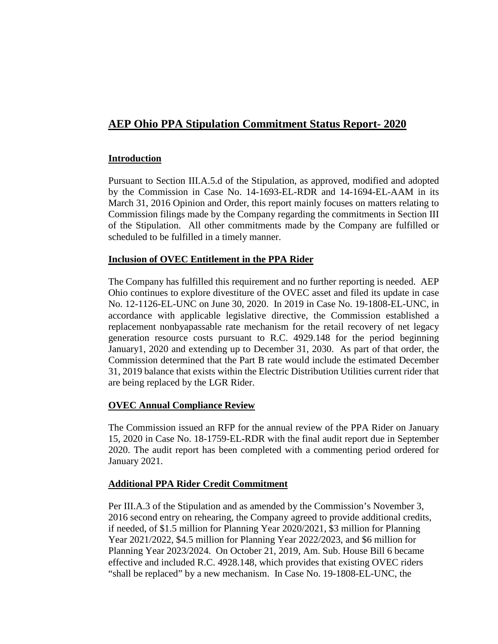# **AEP Ohio PPA Stipulation Commitment Status Report- 2020**

#### **Introduction**

Pursuant to Section III.A.5.d of the Stipulation, as approved, modified and adopted by the Commission in Case No. 14-1693-EL-RDR and 14-1694-EL-AAM in its March 31, 2016 Opinion and Order, this report mainly focuses on matters relating to Commission filings made by the Company regarding the commitments in Section III of the Stipulation. All other commitments made by the Company are fulfilled or scheduled to be fulfilled in a timely manner.

#### **Inclusion of OVEC Entitlement in the PPA Rider**

The Company has fulfilled this requirement and no further reporting is needed. AEP Ohio continues to explore divestiture of the OVEC asset and filed its update in case No. 12-1126-EL-UNC on June 30, 2020. In 2019 in Case No. 19-1808-EL-UNC, in accordance with applicable legislative directive, the Commission established a replacement nonbyapassable rate mechanism for the retail recovery of net legacy generation resource costs pursuant to R.C. 4929.148 for the period beginning January1, 2020 and extending up to December 31, 2030. As part of that order, the Commission determined that the Part B rate would include the estimated December 31, 2019 balance that exists within the Electric Distribution Utilities current rider that are being replaced by the LGR Rider.

#### **OVEC Annual Compliance Review**

The Commission issued an RFP for the annual review of the PPA Rider on January 15, 2020 in Case No. 18-1759-EL-RDR with the final audit report due in September 2020. The audit report has been completed with a commenting period ordered for January 2021.

#### **Additional PPA Rider Credit Commitment**

Per III.A.3 of the Stipulation and as amended by the Commission's November 3, 2016 second entry on rehearing, the Company agreed to provide additional credits, if needed, of \$1.5 million for Planning Year 2020/2021, \$3 million for Planning Year 2021/2022, \$4.5 million for Planning Year 2022/2023, and \$6 million for Planning Year 2023/2024. On October 21, 2019, Am. Sub. House Bill 6 became effective and included R.C. 4928.148, which provides that existing OVEC riders "shall be replaced" by a new mechanism. In Case No. 19-1808-EL-UNC, the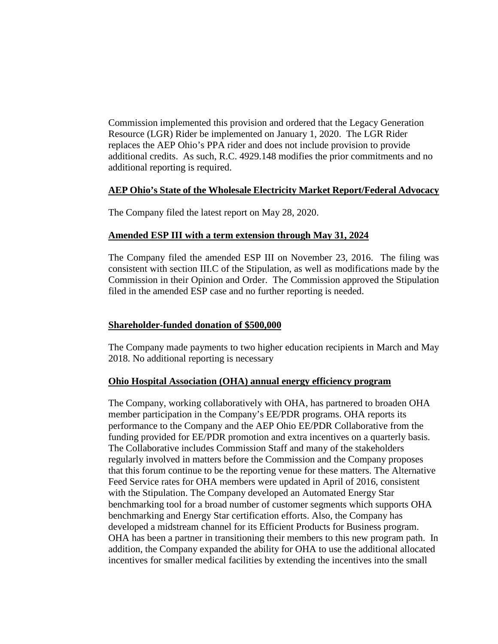Commission implemented this provision and ordered that the Legacy Generation Resource (LGR) Rider be implemented on January 1, 2020. The LGR Rider replaces the AEP Ohio's PPA rider and does not include provision to provide additional credits. As such, R.C. 4929.148 modifies the prior commitments and no additional reporting is required.

#### **AEP Ohio's State of the Wholesale Electricity Market Report/Federal Advocacy**

The Company filed the latest report on May 28, 2020.

#### **Amended ESP III with a term extension through May 31, 2024**

The Company filed the amended ESP III on November 23, 2016. The filing was consistent with section III.C of the Stipulation, as well as modifications made by the Commission in their Opinion and Order. The Commission approved the Stipulation filed in the amended ESP case and no further reporting is needed.

#### **Shareholder-funded donation of \$500,000**

The Company made payments to two higher education recipients in March and May 2018. No additional reporting is necessary

#### **Ohio Hospital Association (OHA) annual energy efficiency program**

The Company, working collaboratively with OHA, has partnered to broaden OHA member participation in the Company's EE/PDR programs. OHA reports its performance to the Company and the AEP Ohio EE/PDR Collaborative from the funding provided for EE/PDR promotion and extra incentives on a quarterly basis. The Collaborative includes Commission Staff and many of the stakeholders regularly involved in matters before the Commission and the Company proposes that this forum continue to be the reporting venue for these matters. The Alternative Feed Service rates for OHA members were updated in April of 2016, consistent with the Stipulation. The Company developed an Automated Energy Star benchmarking tool for a broad number of customer segments which supports OHA benchmarking and Energy Star certification efforts. Also, the Company has developed a midstream channel for its Efficient Products for Business program. OHA has been a partner in transitioning their members to this new program path. In addition, the Company expanded the ability for OHA to use the additional allocated incentives for smaller medical facilities by extending the incentives into the small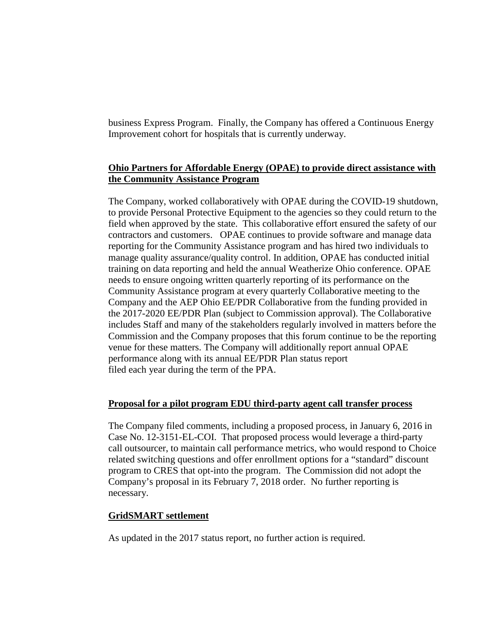business Express Program. Finally, the Company has offered a Continuous Energy Improvement cohort for hospitals that is currently underway.

## **Ohio Partners for Affordable Energy (OPAE) to provide direct assistance with the Community Assistance Program**

The Company, worked collaboratively with OPAE during the COVID-19 shutdown, to provide Personal Protective Equipment to the agencies so they could return to the field when approved by the state. This collaborative effort ensured the safety of our contractors and customers. OPAE continues to provide software and manage data reporting for the Community Assistance program and has hired two individuals to manage quality assurance/quality control. In addition, OPAE has conducted initial training on data reporting and held the annual Weatherize Ohio conference. OPAE needs to ensure ongoing written quarterly reporting of its performance on the Community Assistance program at every quarterly Collaborative meeting to the Company and the AEP Ohio EE/PDR Collaborative from the funding provided in the 2017-2020 EE/PDR Plan (subject to Commission approval). The Collaborative includes Staff and many of the stakeholders regularly involved in matters before the Commission and the Company proposes that this forum continue to be the reporting venue for these matters. The Company will additionally report annual OPAE performance along with its annual EE/PDR Plan status report filed each year during the term of the PPA.

## **Proposal for a pilot program EDU third-party agent call transfer process**

The Company filed comments, including a proposed process, in January 6, 2016 in Case No. 12-3151-EL-COI. That proposed process would leverage a third-party call outsourcer, to maintain call performance metrics, who would respond to Choice related switching questions and offer enrollment options for a "standard" discount program to CRES that opt-into the program. The Commission did not adopt the Company's proposal in its February 7, 2018 order. No further reporting is necessary.

## **GridSMART settlement**

As updated in the 2017 status report, no further action is required.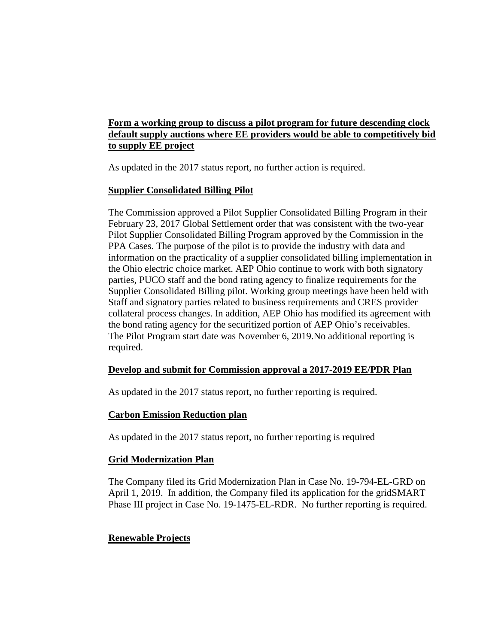## **Form a working group to discuss a pilot program for future descending clock default supply auctions where EE providers would be able to competitively bid to supply EE project**

As updated in the 2017 status report, no further action is required.

## **Supplier Consolidated Billing Pilot**

The Commission approved a Pilot Supplier Consolidated Billing Program in their February 23, 2017 Global Settlement order that was consistent with the two-year Pilot Supplier Consolidated Billing Program approved by the Commission in the PPA Cases. The purpose of the pilot is to provide the industry with data and information on the practicality of a supplier consolidated billing implementation in the Ohio electric choice market. AEP Ohio continue to work with both signatory parties, PUCO staff and the bond rating agency to finalize requirements for the Supplier Consolidated Billing pilot. Working group meetings have been held with Staff and signatory parties related to business requirements and CRES provider collateral process changes. In addition, AEP Ohio has modified its agreement with the bond rating agency for the securitized portion of AEP Ohio's receivables. The Pilot Program start date was November 6, 2019.No additional reporting is required.

## **Develop and submit for Commission approval a 2017-2019 EE/PDR Plan**

As updated in the 2017 status report, no further reporting is required.

## **Carbon Emission Reduction plan**

As updated in the 2017 status report, no further reporting is required

## **Grid Modernization Plan**

The Company filed its Grid Modernization Plan in Case No. 19-794-EL-GRD on April 1, 2019. In addition, the Company filed its application for the gridSMART Phase III project in Case No. 19-1475-EL-RDR. No further reporting is required.

## **Renewable Projects**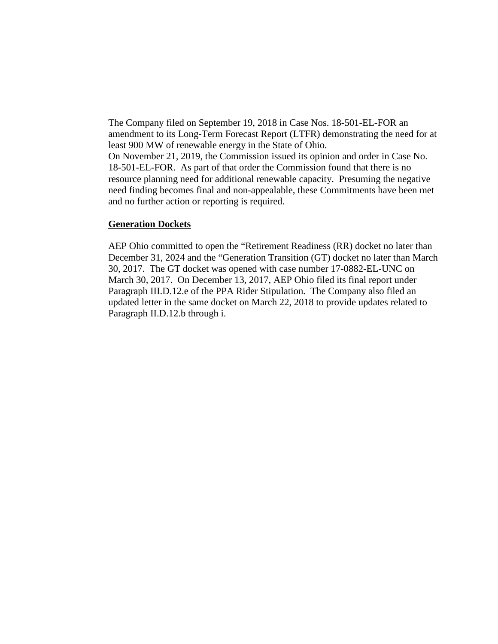The Company filed on September 19, 2018 in Case Nos. 18-501-EL-FOR an amendment to its Long-Term Forecast Report (LTFR) demonstrating the need for at least 900 MW of renewable energy in the State of Ohio. On November 21, 2019, the Commission issued its opinion and order in Case No. 18-501-EL-FOR. As part of that order the Commission found that there is no resource planning need for additional renewable capacity. Presuming the negative need finding becomes final and non-appealable, these Commitments have been met and no further action or reporting is required.

#### **Generation Dockets**

AEP Ohio committed to open the "Retirement Readiness (RR) docket no later than December 31, 2024 and the "Generation Transition (GT) docket no later than March 30, 2017. The GT docket was opened with case number 17-0882-EL-UNC on March 30, 2017. On December 13, 2017, AEP Ohio filed its final report under Paragraph III.D.12.e of the PPA Rider Stipulation. The Company also filed an updated letter in the same docket on March 22, 2018 to provide updates related to Paragraph II.D.12.b through i.